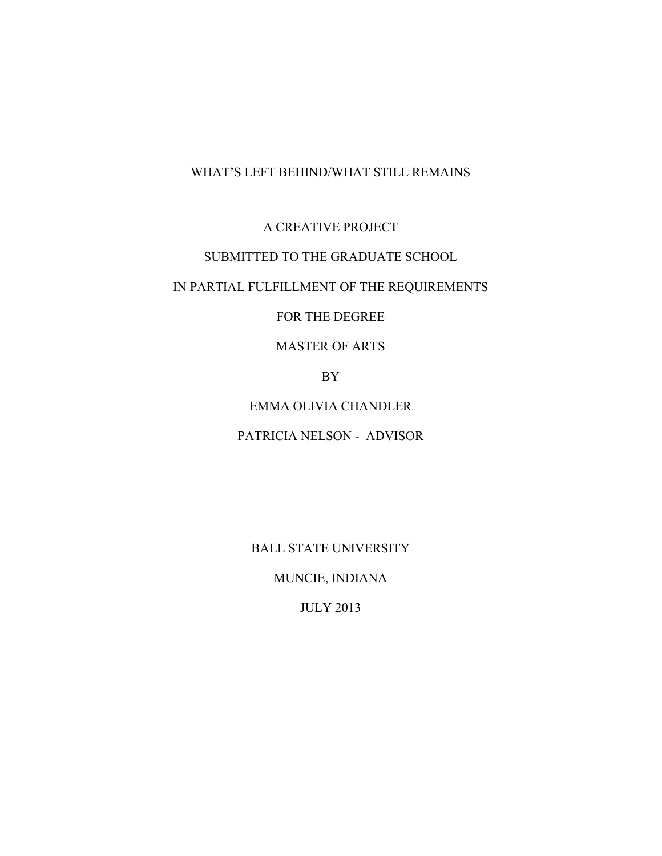# WHAT'S LEFT BEHIND/WHAT STILL REMAINS

A CREATIVE PROJECT

# SUBMITTED TO THE GRADUATE SCHOOL

# IN PARTIAL FULFILLMENT OF THE REQUIREMENTS

# FOR THE DEGREE

# MASTER OF ARTS

BY

# EMMA OLIVIA CHANDLER

# PATRICIA NELSON - ADVISOR

BALL STATE UNIVERSITY

MUNCIE, INDIANA

JULY 2013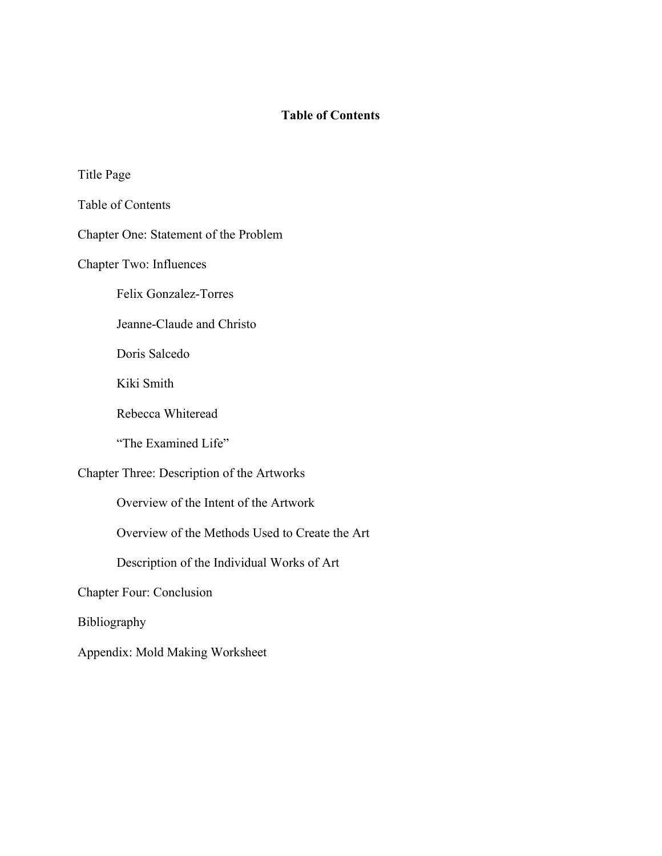# **Table of Contents**

Title Page

Table of Contents

Chapter One: Statement of the Problem

Chapter Two: Influences

Felix Gonzalez-Torres

Jeanne-Claude and Christo

Doris Salcedo

Kiki Smith

Rebecca Whiteread

"The Examined Life"

Chapter Three: Description of the Artworks

Overview of the Intent of the Artwork

Overview of the Methods Used to Create the Art

Description of the Individual Works of Art

Chapter Four: Conclusion

Bibliography

Appendix: Mold Making Worksheet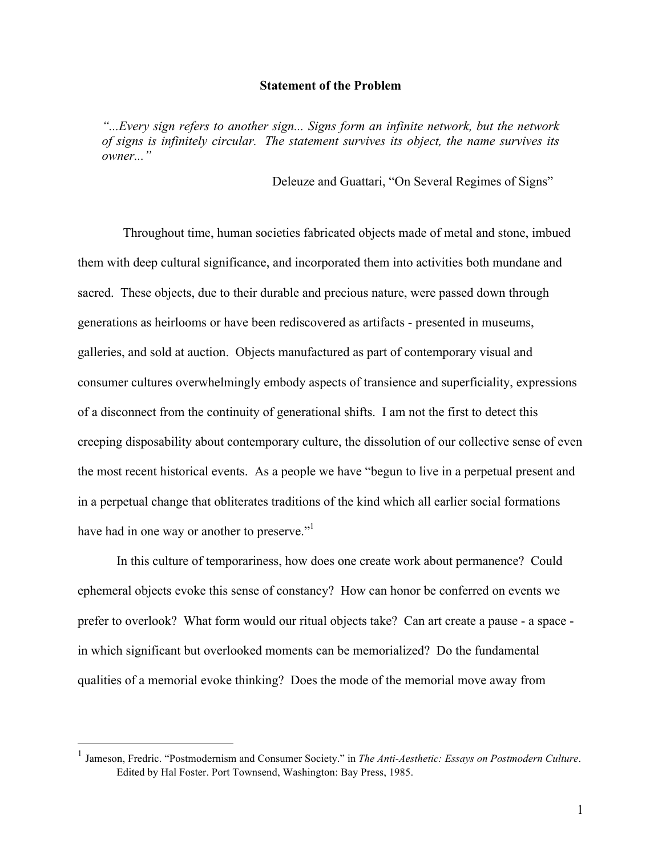#### **Statement of the Problem**

*"...Every sign refers to another sign... Signs form an infinite network, but the network of signs is infinitely circular. The statement survives its object, the name survives its owner..."*

Deleuze and Guattari, "On Several Regimes of Signs"

Throughout time, human societies fabricated objects made of metal and stone, imbued them with deep cultural significance, and incorporated them into activities both mundane and sacred. These objects, due to their durable and precious nature, were passed down through generations as heirlooms or have been rediscovered as artifacts - presented in museums, galleries, and sold at auction. Objects manufactured as part of contemporary visual and consumer cultures overwhelmingly embody aspects of transience and superficiality, expressions of a disconnect from the continuity of generational shifts. I am not the first to detect this creeping disposability about contemporary culture, the dissolution of our collective sense of even the most recent historical events. As a people we have "begun to live in a perpetual present and in a perpetual change that obliterates traditions of the kind which all earlier social formations have had in one way or another to preserve."<sup>1</sup>

In this culture of temporariness, how does one create work about permanence? Could ephemeral objects evoke this sense of constancy? How can honor be conferred on events we prefer to overlook? What form would our ritual objects take? Can art create a pause - a space in which significant but overlooked moments can be memorialized? Do the fundamental qualities of a memorial evoke thinking? Does the mode of the memorial move away from

 <sup>1</sup> Jameson, Fredric. "Postmodernism and Consumer Society." in *The Anti-Aesthetic: Essays on Postmodern Culture*. Edited by Hal Foster. Port Townsend, Washington: Bay Press, 1985.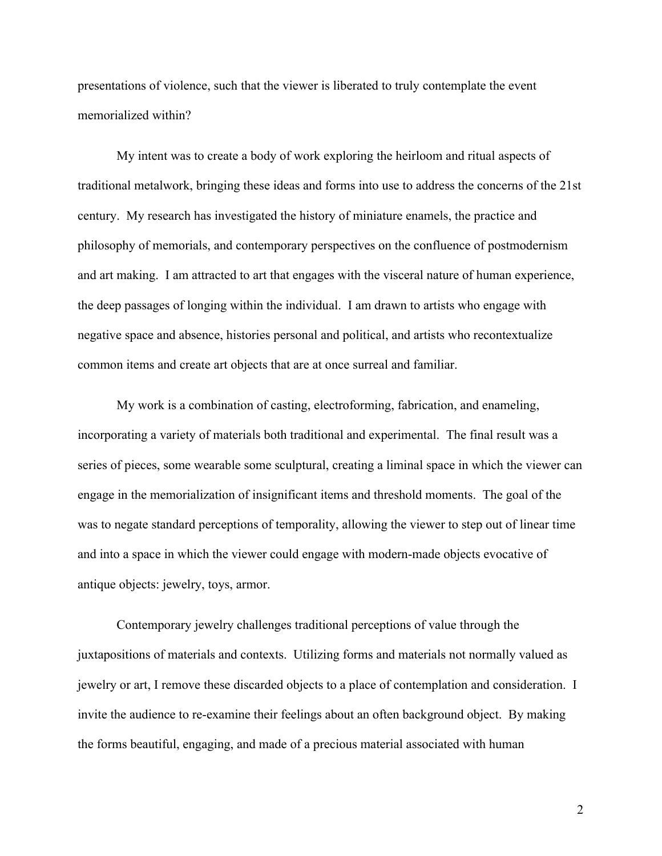presentations of violence, such that the viewer is liberated to truly contemplate the event memorialized within?

My intent was to create a body of work exploring the heirloom and ritual aspects of traditional metalwork, bringing these ideas and forms into use to address the concerns of the 21st century. My research has investigated the history of miniature enamels, the practice and philosophy of memorials, and contemporary perspectives on the confluence of postmodernism and art making. I am attracted to art that engages with the visceral nature of human experience, the deep passages of longing within the individual. I am drawn to artists who engage with negative space and absence, histories personal and political, and artists who recontextualize common items and create art objects that are at once surreal and familiar.

My work is a combination of casting, electroforming, fabrication, and enameling, incorporating a variety of materials both traditional and experimental. The final result was a series of pieces, some wearable some sculptural, creating a liminal space in which the viewer can engage in the memorialization of insignificant items and threshold moments. The goal of the was to negate standard perceptions of temporality, allowing the viewer to step out of linear time and into a space in which the viewer could engage with modern-made objects evocative of antique objects: jewelry, toys, armor.

Contemporary jewelry challenges traditional perceptions of value through the juxtapositions of materials and contexts. Utilizing forms and materials not normally valued as jewelry or art, I remove these discarded objects to a place of contemplation and consideration. I invite the audience to re-examine their feelings about an often background object. By making the forms beautiful, engaging, and made of a precious material associated with human

2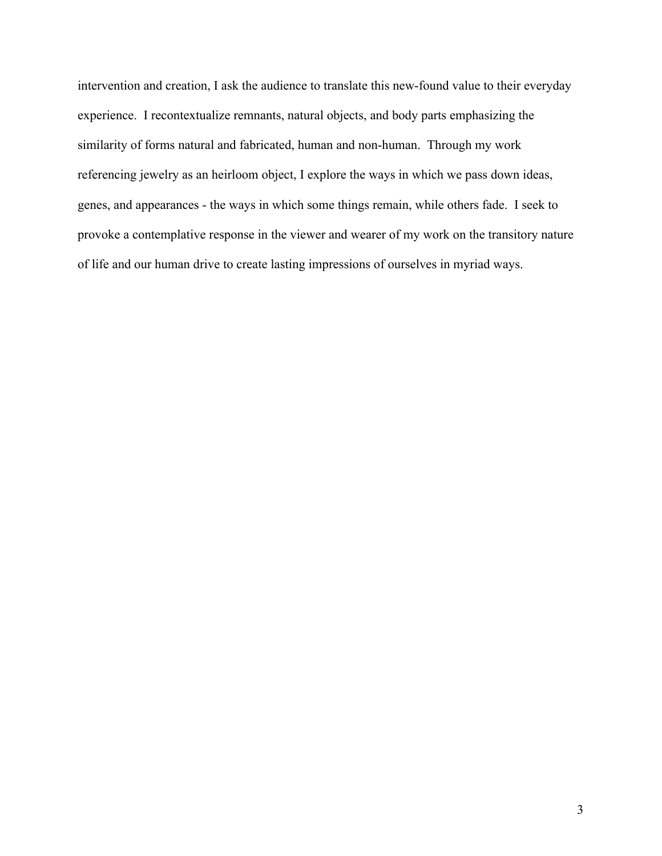intervention and creation, I ask the audience to translate this new-found value to their everyday experience. I recontextualize remnants, natural objects, and body parts emphasizing the similarity of forms natural and fabricated, human and non-human. Through my work referencing jewelry as an heirloom object, I explore the ways in which we pass down ideas, genes, and appearances - the ways in which some things remain, while others fade. I seek to provoke a contemplative response in the viewer and wearer of my work on the transitory nature of life and our human drive to create lasting impressions of ourselves in myriad ways.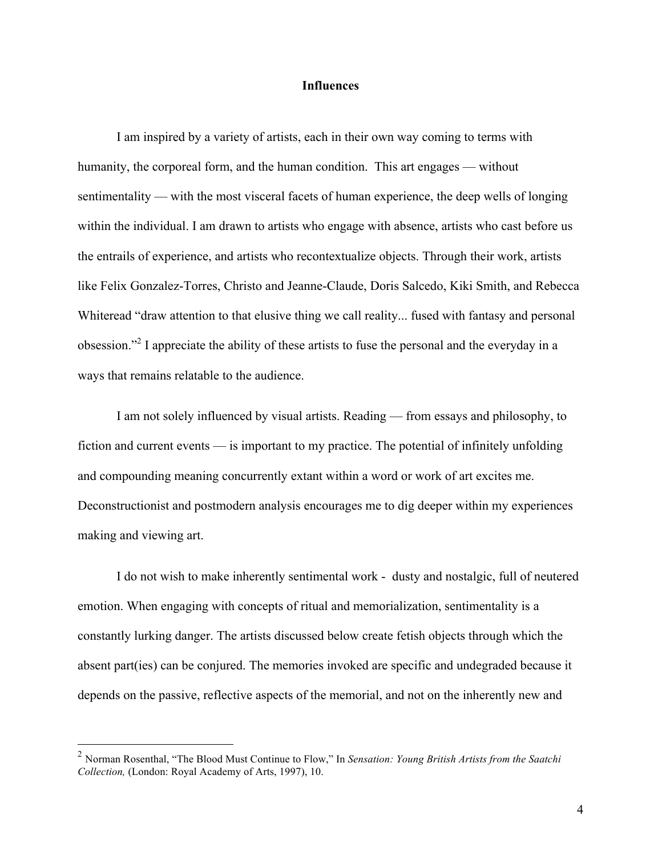#### **Influences**

I am inspired by a variety of artists, each in their own way coming to terms with humanity, the corporeal form, and the human condition. This art engages — without sentimentality — with the most visceral facets of human experience, the deep wells of longing within the individual. I am drawn to artists who engage with absence, artists who cast before us the entrails of experience, and artists who recontextualize objects. Through their work, artists like Felix Gonzalez-Torres, Christo and Jeanne-Claude, Doris Salcedo, Kiki Smith, and Rebecca Whiteread "draw attention to that elusive thing we call reality... fused with fantasy and personal obsession."2 I appreciate the ability of these artists to fuse the personal and the everyday in a ways that remains relatable to the audience.

I am not solely influenced by visual artists. Reading — from essays and philosophy, to fiction and current events — is important to my practice. The potential of infinitely unfolding and compounding meaning concurrently extant within a word or work of art excites me. Deconstructionist and postmodern analysis encourages me to dig deeper within my experiences making and viewing art.

I do not wish to make inherently sentimental work - dusty and nostalgic, full of neutered emotion. When engaging with concepts of ritual and memorialization, sentimentality is a constantly lurking danger. The artists discussed below create fetish objects through which the absent part(ies) can be conjured. The memories invoked are specific and undegraded because it depends on the passive, reflective aspects of the memorial, and not on the inherently new and

 <sup>2</sup> Norman Rosenthal, "The Blood Must Continue to Flow," In *Sensation: Young British Artists from the Saatchi Collection,* (London: Royal Academy of Arts, 1997), 10.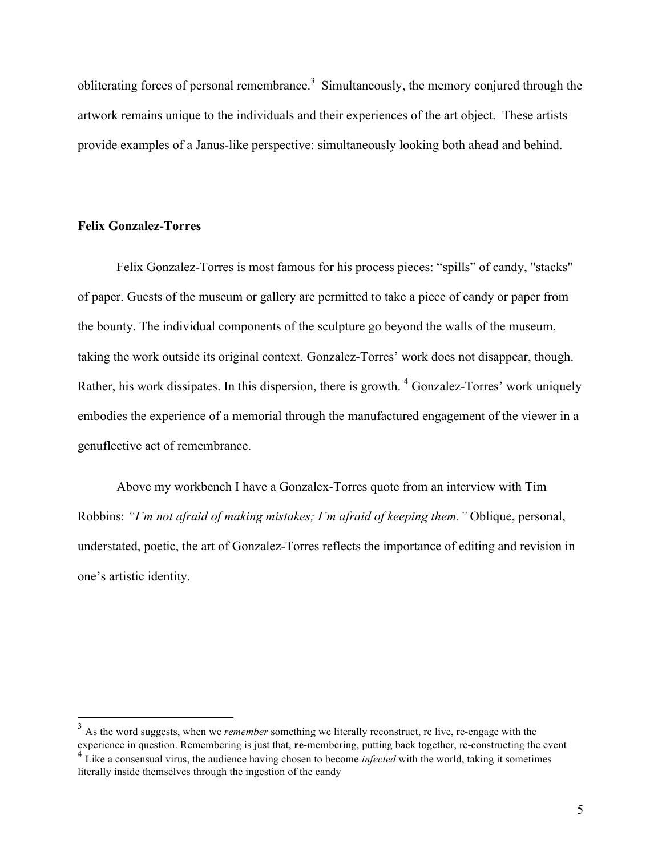obliterating forces of personal remembrance.<sup>3</sup> Simultaneously, the memory conjured through the artwork remains unique to the individuals and their experiences of the art object. These artists provide examples of a Janus-like perspective: simultaneously looking both ahead and behind.

# **Felix Gonzalez-Torres**

Felix Gonzalez-Torres is most famous for his process pieces: "spills" of candy, "stacks" of paper. Guests of the museum or gallery are permitted to take a piece of candy or paper from the bounty. The individual components of the sculpture go beyond the walls of the museum, taking the work outside its original context. Gonzalez-Torres' work does not disappear, though. Rather, his work dissipates. In this dispersion, there is growth. <sup>4</sup> Gonzalez-Torres' work uniquely embodies the experience of a memorial through the manufactured engagement of the viewer in a genuflective act of remembrance.

Above my workbench I have a Gonzalex-Torres quote from an interview with Tim Robbins: *"I'm not afraid of making mistakes; I'm afraid of keeping them."* Oblique, personal, understated, poetic, the art of Gonzalez-Torres reflects the importance of editing and revision in one's artistic identity.

<sup>&</sup>lt;sup>3</sup> As the word suggests, when we *remember* something we literally reconstruct, re live, re-engage with the experience in question. Remembering is just that, **re**-membering, putting back together, re-constructing the event

<sup>&</sup>lt;sup>4</sup> Like a consensual virus, the audience having chosen to become *infected* with the world, taking it sometimes literally inside themselves through the ingestion of the candy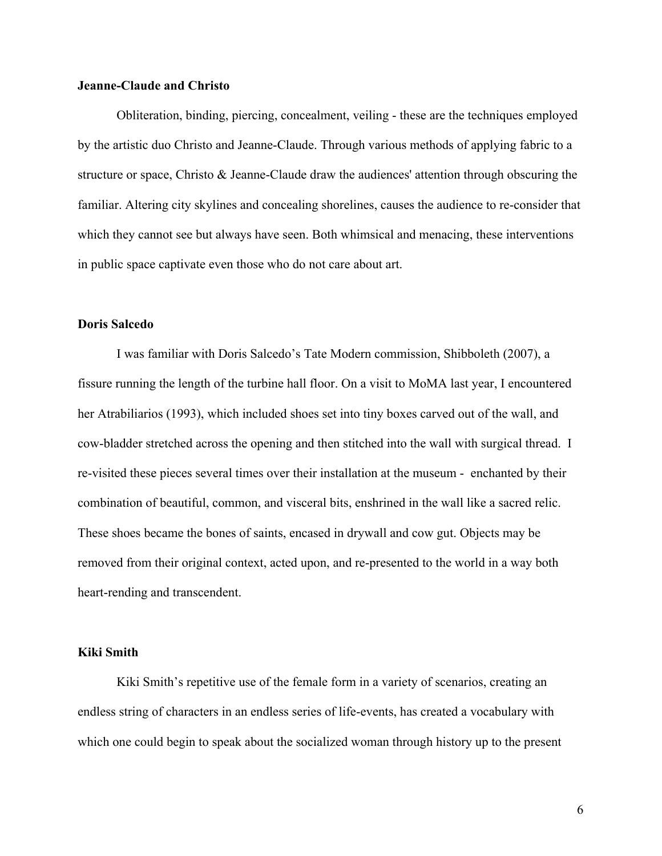### **Jeanne-Claude and Christo**

Obliteration, binding, piercing, concealment, veiling - these are the techniques employed by the artistic duo Christo and Jeanne-Claude. Through various methods of applying fabric to a structure or space, Christo & Jeanne-Claude draw the audiences' attention through obscuring the familiar. Altering city skylines and concealing shorelines, causes the audience to re-consider that which they cannot see but always have seen. Both whimsical and menacing, these interventions in public space captivate even those who do not care about art.

## **Doris Salcedo**

I was familiar with Doris Salcedo's Tate Modern commission, Shibboleth (2007), a fissure running the length of the turbine hall floor. On a visit to MoMA last year, I encountered her Atrabiliarios (1993), which included shoes set into tiny boxes carved out of the wall, and cow-bladder stretched across the opening and then stitched into the wall with surgical thread. I re-visited these pieces several times over their installation at the museum - enchanted by their combination of beautiful, common, and visceral bits, enshrined in the wall like a sacred relic. These shoes became the bones of saints, encased in drywall and cow gut. Objects may be removed from their original context, acted upon, and re-presented to the world in a way both heart-rending and transcendent.

#### **Kiki Smith**

Kiki Smith's repetitive use of the female form in a variety of scenarios, creating an endless string of characters in an endless series of life-events, has created a vocabulary with which one could begin to speak about the socialized woman through history up to the present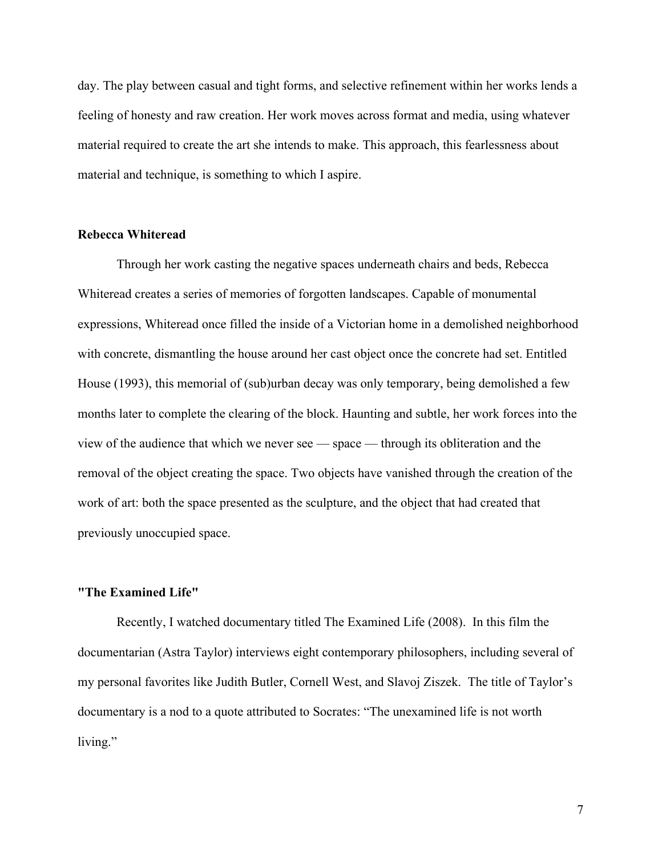day. The play between casual and tight forms, and selective refinement within her works lends a feeling of honesty and raw creation. Her work moves across format and media, using whatever material required to create the art she intends to make. This approach, this fearlessness about material and technique, is something to which I aspire.

## **Rebecca Whiteread**

Through her work casting the negative spaces underneath chairs and beds, Rebecca Whiteread creates a series of memories of forgotten landscapes. Capable of monumental expressions, Whiteread once filled the inside of a Victorian home in a demolished neighborhood with concrete, dismantling the house around her cast object once the concrete had set. Entitled House (1993), this memorial of (sub)urban decay was only temporary, being demolished a few months later to complete the clearing of the block. Haunting and subtle, her work forces into the view of the audience that which we never see — space — through its obliteration and the removal of the object creating the space. Two objects have vanished through the creation of the work of art: both the space presented as the sculpture, and the object that had created that previously unoccupied space.

#### **"The Examined Life"**

Recently, I watched documentary titled The Examined Life (2008). In this film the documentarian (Astra Taylor) interviews eight contemporary philosophers, including several of my personal favorites like Judith Butler, Cornell West, and Slavoj Ziszek. The title of Taylor's documentary is a nod to a quote attributed to Socrates: "The unexamined life is not worth living."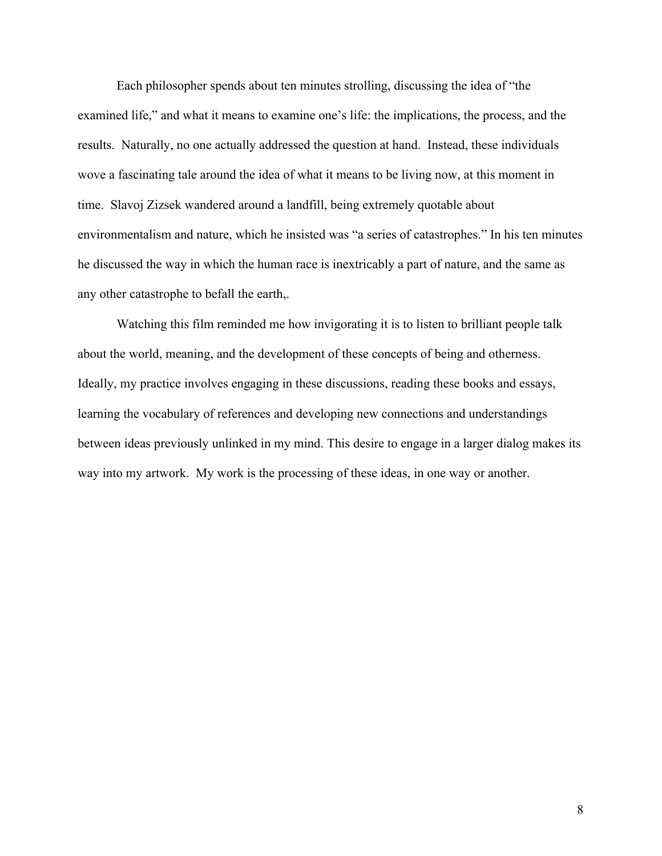Each philosopher spends about ten minutes strolling, discussing the idea of "the examined life," and what it means to examine one's life: the implications, the process, and the results. Naturally, no one actually addressed the question at hand. Instead, these individuals wove a fascinating tale around the idea of what it means to be living now, at this moment in time. Slavoj Zizsek wandered around a landfill, being extremely quotable about environmentalism and nature, which he insisted was "a series of catastrophes." In his ten minutes he discussed the way in which the human race is inextricably a part of nature, and the same as any other catastrophe to befall the earth,.

Watching this film reminded me how invigorating it is to listen to brilliant people talk about the world, meaning, and the development of these concepts of being and otherness. Ideally, my practice involves engaging in these discussions, reading these books and essays, learning the vocabulary of references and developing new connections and understandings between ideas previously unlinked in my mind. This desire to engage in a larger dialog makes its way into my artwork. My work is the processing of these ideas, in one way or another.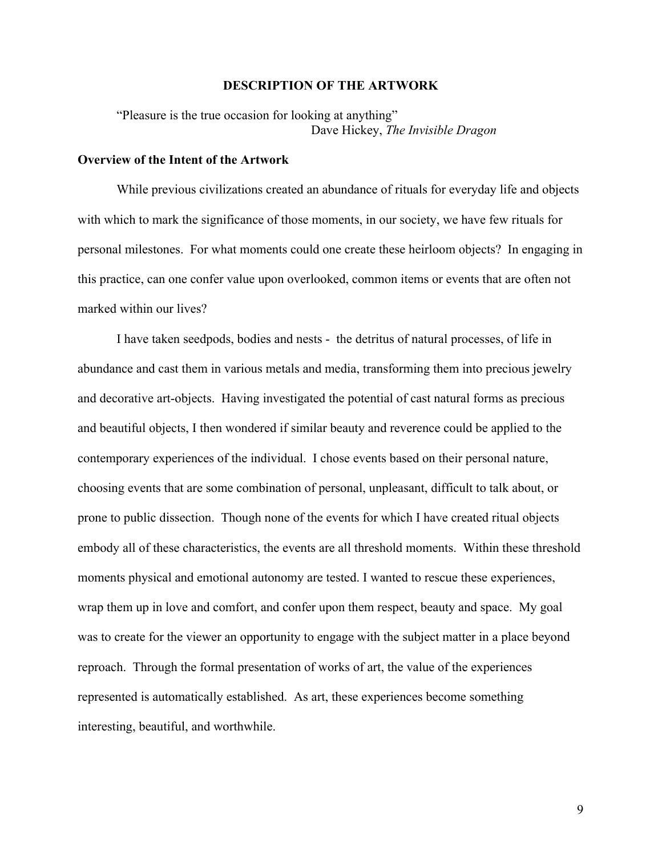#### **DESCRIPTION OF THE ARTWORK**

"Pleasure is the true occasion for looking at anything" Dave Hickey, *The Invisible Dragon*

#### **Overview of the Intent of the Artwork**

While previous civilizations created an abundance of rituals for everyday life and objects with which to mark the significance of those moments, in our society, we have few rituals for personal milestones. For what moments could one create these heirloom objects? In engaging in this practice, can one confer value upon overlooked, common items or events that are often not marked within our lives?

I have taken seedpods, bodies and nests - the detritus of natural processes, of life in abundance and cast them in various metals and media, transforming them into precious jewelry and decorative art-objects. Having investigated the potential of cast natural forms as precious and beautiful objects, I then wondered if similar beauty and reverence could be applied to the contemporary experiences of the individual. I chose events based on their personal nature, choosing events that are some combination of personal, unpleasant, difficult to talk about, or prone to public dissection. Though none of the events for which I have created ritual objects embody all of these characteristics, the events are all threshold moments. Within these threshold moments physical and emotional autonomy are tested. I wanted to rescue these experiences, wrap them up in love and comfort, and confer upon them respect, beauty and space. My goal was to create for the viewer an opportunity to engage with the subject matter in a place beyond reproach. Through the formal presentation of works of art, the value of the experiences represented is automatically established. As art, these experiences become something interesting, beautiful, and worthwhile.

9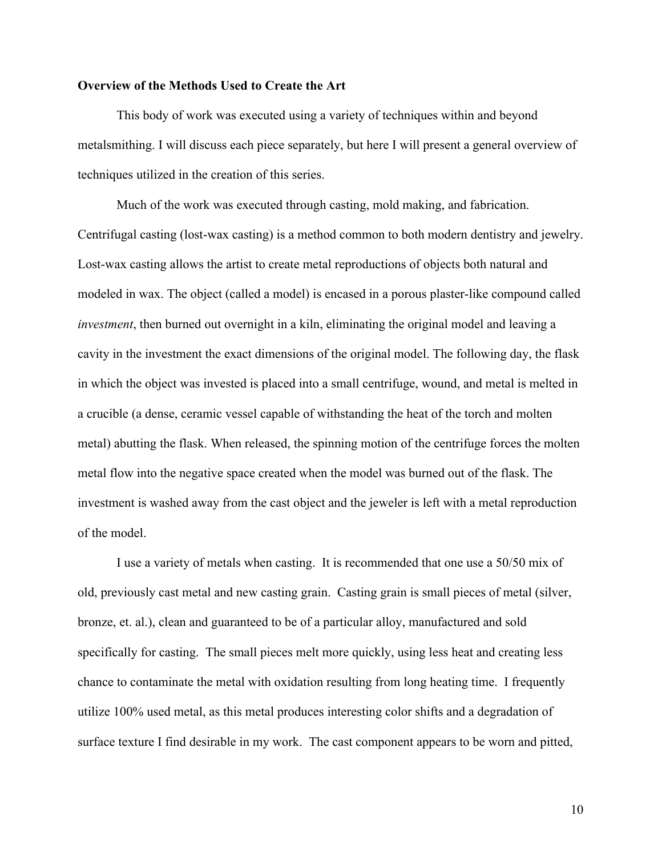## **Overview of the Methods Used to Create the Art**

This body of work was executed using a variety of techniques within and beyond metalsmithing. I will discuss each piece separately, but here I will present a general overview of techniques utilized in the creation of this series.

Much of the work was executed through casting, mold making, and fabrication. Centrifugal casting (lost-wax casting) is a method common to both modern dentistry and jewelry. Lost-wax casting allows the artist to create metal reproductions of objects both natural and modeled in wax. The object (called a model) is encased in a porous plaster-like compound called *investment*, then burned out overnight in a kiln, eliminating the original model and leaving a cavity in the investment the exact dimensions of the original model. The following day, the flask in which the object was invested is placed into a small centrifuge, wound, and metal is melted in a crucible (a dense, ceramic vessel capable of withstanding the heat of the torch and molten metal) abutting the flask. When released, the spinning motion of the centrifuge forces the molten metal flow into the negative space created when the model was burned out of the flask. The investment is washed away from the cast object and the jeweler is left with a metal reproduction of the model.

I use a variety of metals when casting. It is recommended that one use a 50/50 mix of old, previously cast metal and new casting grain. Casting grain is small pieces of metal (silver, bronze, et. al.), clean and guaranteed to be of a particular alloy, manufactured and sold specifically for casting. The small pieces melt more quickly, using less heat and creating less chance to contaminate the metal with oxidation resulting from long heating time. I frequently utilize 100% used metal, as this metal produces interesting color shifts and a degradation of surface texture I find desirable in my work. The cast component appears to be worn and pitted,

10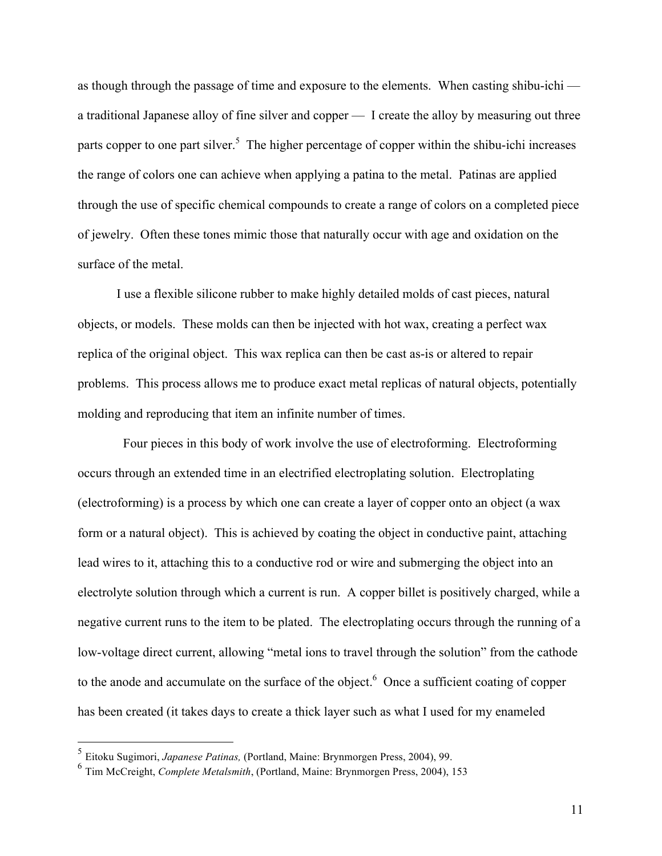as though through the passage of time and exposure to the elements. When casting shibu-ichi a traditional Japanese alloy of fine silver and copper — I create the alloy by measuring out three parts copper to one part silver.<sup>5</sup> The higher percentage of copper within the shibu-ichi increases the range of colors one can achieve when applying a patina to the metal. Patinas are applied through the use of specific chemical compounds to create a range of colors on a completed piece of jewelry. Often these tones mimic those that naturally occur with age and oxidation on the surface of the metal.

I use a flexible silicone rubber to make highly detailed molds of cast pieces, natural objects, or models. These molds can then be injected with hot wax, creating a perfect wax replica of the original object. This wax replica can then be cast as-is or altered to repair problems. This process allows me to produce exact metal replicas of natural objects, potentially molding and reproducing that item an infinite number of times.

 Four pieces in this body of work involve the use of electroforming. Electroforming occurs through an extended time in an electrified electroplating solution. Electroplating (electroforming) is a process by which one can create a layer of copper onto an object (a wax form or a natural object). This is achieved by coating the object in conductive paint, attaching lead wires to it, attaching this to a conductive rod or wire and submerging the object into an electrolyte solution through which a current is run. A copper billet is positively charged, while a negative current runs to the item to be plated. The electroplating occurs through the running of a low-voltage direct current, allowing "metal ions to travel through the solution" from the cathode to the anode and accumulate on the surface of the object.<sup>6</sup> Once a sufficient coating of copper has been created (it takes days to create a thick layer such as what I used for my enameled

 <sup>5</sup> Eitoku Sugimori, *Japanese Patinas,* (Portland, Maine: Brynmorgen Press, 2004), 99.

<sup>6</sup> Tim McCreight, *Complete Metalsmith*, (Portland, Maine: Brynmorgen Press, 2004), 153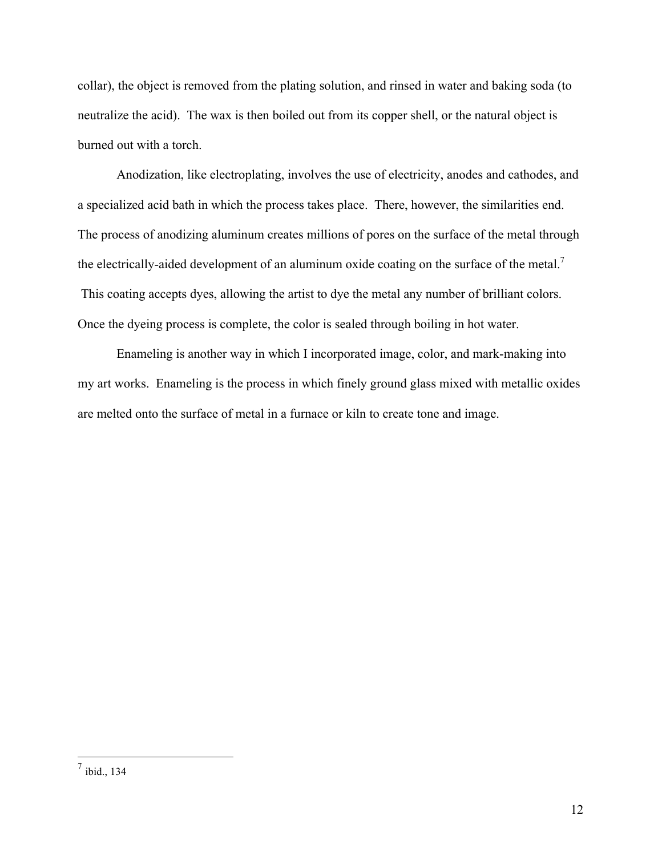collar), the object is removed from the plating solution, and rinsed in water and baking soda (to neutralize the acid). The wax is then boiled out from its copper shell, or the natural object is burned out with a torch.

Anodization, like electroplating, involves the use of electricity, anodes and cathodes, and a specialized acid bath in which the process takes place. There, however, the similarities end. The process of anodizing aluminum creates millions of pores on the surface of the metal through the electrically-aided development of an aluminum oxide coating on the surface of the metal.<sup>7</sup> This coating accepts dyes, allowing the artist to dye the metal any number of brilliant colors. Once the dyeing process is complete, the color is sealed through boiling in hot water.

Enameling is another way in which I incorporated image, color, and mark-making into my art works. Enameling is the process in which finely ground glass mixed with metallic oxides are melted onto the surface of metal in a furnace or kiln to create tone and image.

 <sup>7</sup> ibid., 134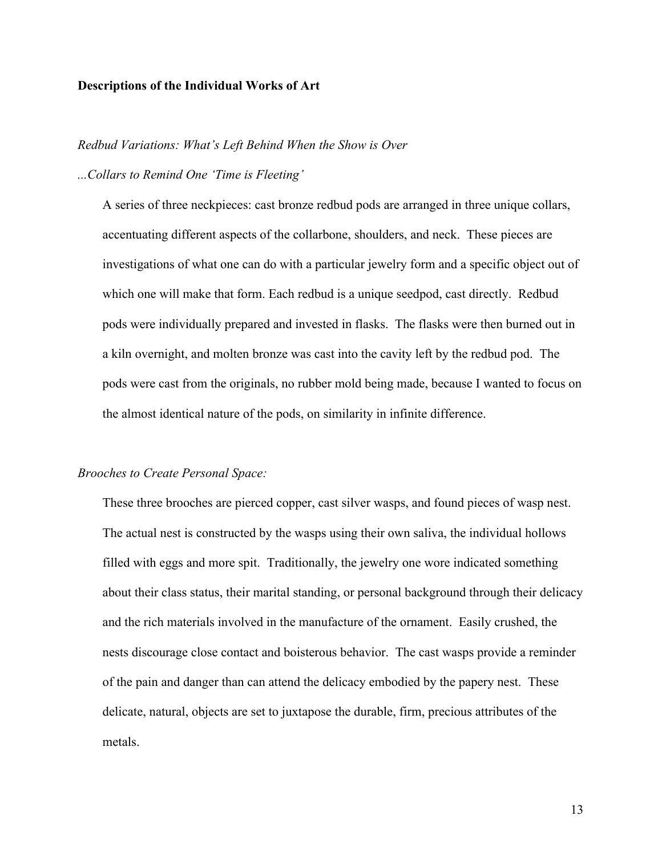## **Descriptions of the Individual Works of Art**

### *Redbud Variations: What's Left Behind When the Show is Over*

### *...Collars to Remind One 'Time is Fleeting'*

A series of three neckpieces: cast bronze redbud pods are arranged in three unique collars, accentuating different aspects of the collarbone, shoulders, and neck. These pieces are investigations of what one can do with a particular jewelry form and a specific object out of which one will make that form. Each redbud is a unique seedpod, cast directly. Redbud pods were individually prepared and invested in flasks. The flasks were then burned out in a kiln overnight, and molten bronze was cast into the cavity left by the redbud pod. The pods were cast from the originals, no rubber mold being made, because I wanted to focus on the almost identical nature of the pods, on similarity in infinite difference.

## *Brooches to Create Personal Space:*

These three brooches are pierced copper, cast silver wasps, and found pieces of wasp nest. The actual nest is constructed by the wasps using their own saliva, the individual hollows filled with eggs and more spit. Traditionally, the jewelry one wore indicated something about their class status, their marital standing, or personal background through their delicacy and the rich materials involved in the manufacture of the ornament. Easily crushed, the nests discourage close contact and boisterous behavior. The cast wasps provide a reminder of the pain and danger than can attend the delicacy embodied by the papery nest. These delicate, natural, objects are set to juxtapose the durable, firm, precious attributes of the metals.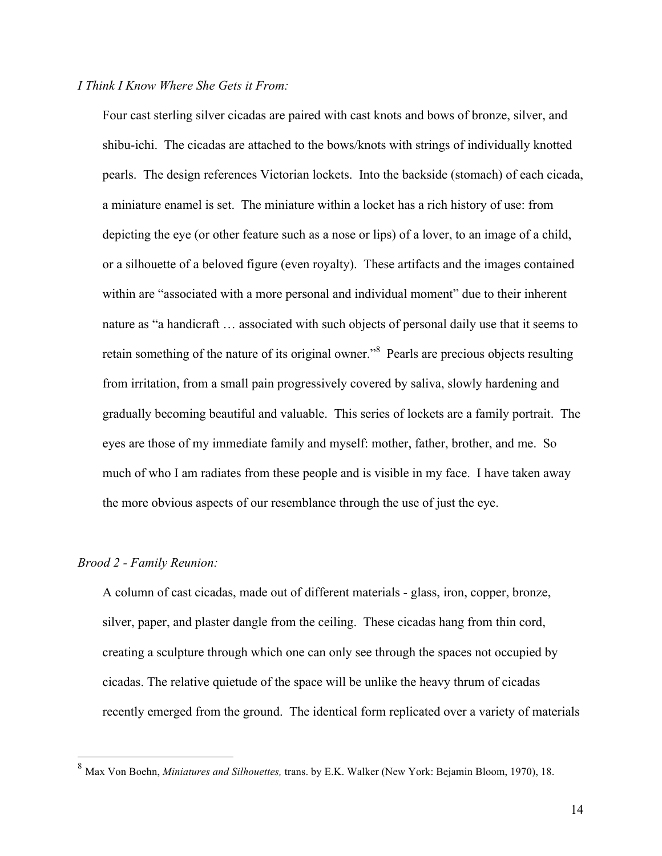# *I Think I Know Where She Gets it From:*

Four cast sterling silver cicadas are paired with cast knots and bows of bronze, silver, and shibu-ichi. The cicadas are attached to the bows/knots with strings of individually knotted pearls. The design references Victorian lockets. Into the backside (stomach) of each cicada, a miniature enamel is set. The miniature within a locket has a rich history of use: from depicting the eye (or other feature such as a nose or lips) of a lover, to an image of a child, or a silhouette of a beloved figure (even royalty). These artifacts and the images contained within are "associated with a more personal and individual moment" due to their inherent nature as "a handicraft … associated with such objects of personal daily use that it seems to retain something of the nature of its original owner."<sup>8</sup> Pearls are precious objects resulting from irritation, from a small pain progressively covered by saliva, slowly hardening and gradually becoming beautiful and valuable. This series of lockets are a family portrait. The eyes are those of my immediate family and myself: mother, father, brother, and me. So much of who I am radiates from these people and is visible in my face. I have taken away the more obvious aspects of our resemblance through the use of just the eye.

#### *Brood 2 - Family Reunion:*

A column of cast cicadas, made out of different materials - glass, iron, copper, bronze, silver, paper, and plaster dangle from the ceiling. These cicadas hang from thin cord, creating a sculpture through which one can only see through the spaces not occupied by cicadas. The relative quietude of the space will be unlike the heavy thrum of cicadas recently emerged from the ground. The identical form replicated over a variety of materials

 <sup>8</sup> Max Von Boehn, *Miniatures and Silhouettes,* trans. by E.K. Walker (New York: Bejamin Bloom, 1970), 18.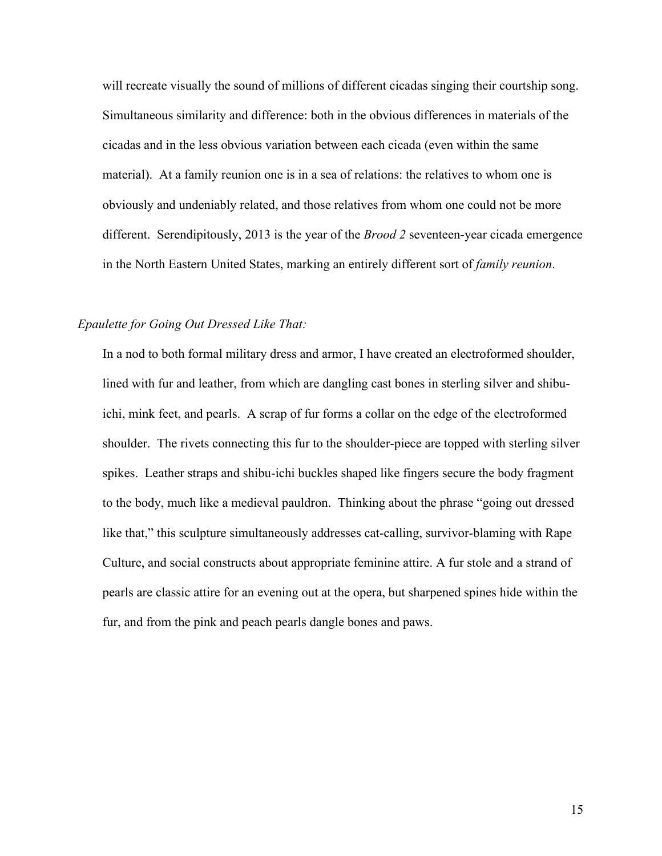will recreate visually the sound of millions of different cicadas singing their courtship song. Simultaneous similarity and difference: both in the obvious differences in materials of the cicadas and in the less obvious variation between each cicada (even within the same material). At a family reunion one is in a sea of relations: the relatives to whom one is obviously and undeniably related, and those relatives from whom one could not be more different. Serendipitously, 2013 is the year of the *Brood 2* seventeen-year cicada emergence in the North Eastern United States, marking an entirely different sort of *family reunion*.

## *Epaulette for Going Out Dressed Like That:*

In a nod to both formal military dress and armor, I have created an electroformed shoulder, lined with fur and leather, from which are dangling cast bones in sterling silver and shibuichi, mink feet, and pearls. A scrap of fur forms a collar on the edge of the electroformed shoulder. The rivets connecting this fur to the shoulder-piece are topped with sterling silver spikes. Leather straps and shibu-ichi buckles shaped like fingers secure the body fragment to the body, much like a medieval pauldron. Thinking about the phrase "going out dressed like that," this sculpture simultaneously addresses cat-calling, survivor-blaming with Rape Culture, and social constructs about appropriate feminine attire. A fur stole and a strand of pearls are classic attire for an evening out at the opera, but sharpened spines hide within the fur, and from the pink and peach pearls dangle bones and paws.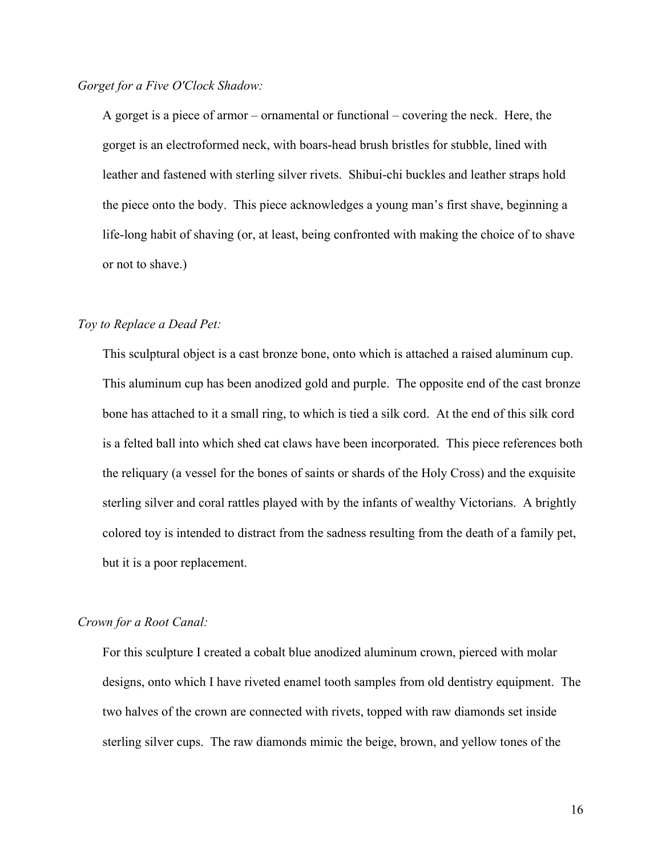## *Gorget for a Five O'Clock Shadow:*

A gorget is a piece of armor – ornamental or functional – covering the neck. Here, the gorget is an electroformed neck, with boars-head brush bristles for stubble, lined with leather and fastened with sterling silver rivets. Shibui-chi buckles and leather straps hold the piece onto the body. This piece acknowledges a young man's first shave, beginning a life-long habit of shaving (or, at least, being confronted with making the choice of to shave or not to shave.)

### *Toy to Replace a Dead Pet:*

This sculptural object is a cast bronze bone, onto which is attached a raised aluminum cup. This aluminum cup has been anodized gold and purple. The opposite end of the cast bronze bone has attached to it a small ring, to which is tied a silk cord. At the end of this silk cord is a felted ball into which shed cat claws have been incorporated. This piece references both the reliquary (a vessel for the bones of saints or shards of the Holy Cross) and the exquisite sterling silver and coral rattles played with by the infants of wealthy Victorians. A brightly colored toy is intended to distract from the sadness resulting from the death of a family pet, but it is a poor replacement.

### *Crown for a Root Canal:*

For this sculpture I created a cobalt blue anodized aluminum crown, pierced with molar designs, onto which I have riveted enamel tooth samples from old dentistry equipment. The two halves of the crown are connected with rivets, topped with raw diamonds set inside sterling silver cups. The raw diamonds mimic the beige, brown, and yellow tones of the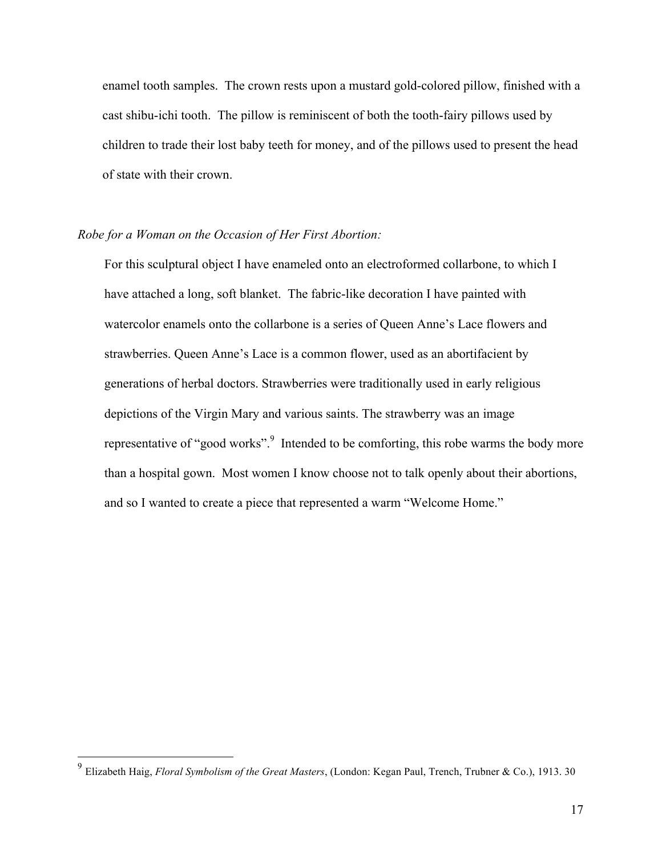enamel tooth samples. The crown rests upon a mustard gold-colored pillow, finished with a cast shibu-ichi tooth. The pillow is reminiscent of both the tooth-fairy pillows used by children to trade their lost baby teeth for money, and of the pillows used to present the head of state with their crown.

## *Robe for a Woman on the Occasion of Her First Abortion:*

For this sculptural object I have enameled onto an electroformed collarbone, to which I have attached a long, soft blanket. The fabric-like decoration I have painted with watercolor enamels onto the collarbone is a series of Queen Anne's Lace flowers and strawberries. Queen Anne's Lace is a common flower, used as an abortifacient by generations of herbal doctors. Strawberries were traditionally used in early religious depictions of the Virgin Mary and various saints. The strawberry was an image representative of "good works".<sup>9</sup> Intended to be comforting, this robe warms the body more than a hospital gown. Most women I know choose not to talk openly about their abortions, and so I wanted to create a piece that represented a warm "Welcome Home."

 <sup>9</sup> Elizabeth Haig, *Floral Symbolism of the Great Masters*, (London: Kegan Paul, Trench, Trubner & Co.), 1913. 30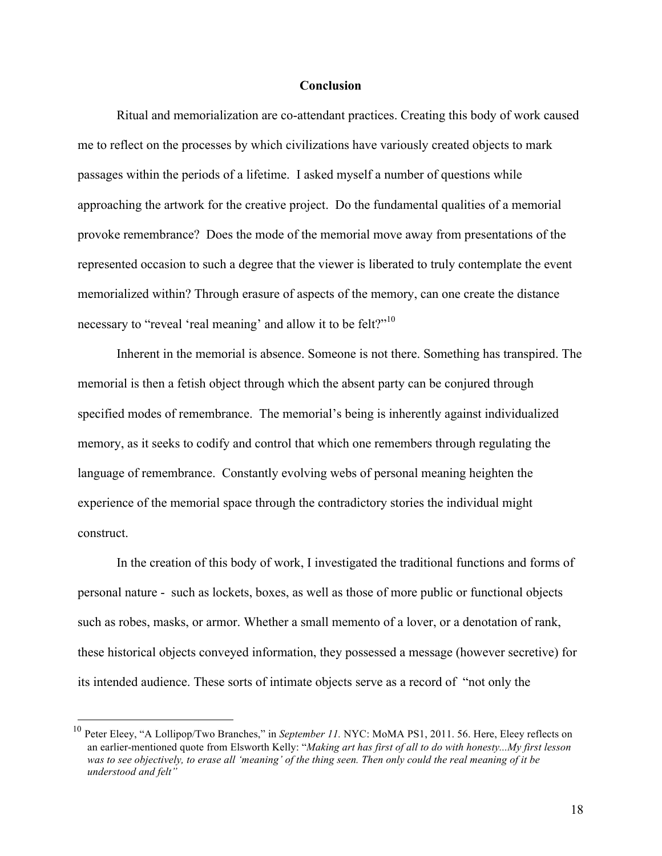## **Conclusion**

Ritual and memorialization are co-attendant practices. Creating this body of work caused me to reflect on the processes by which civilizations have variously created objects to mark passages within the periods of a lifetime. I asked myself a number of questions while approaching the artwork for the creative project. Do the fundamental qualities of a memorial provoke remembrance? Does the mode of the memorial move away from presentations of the represented occasion to such a degree that the viewer is liberated to truly contemplate the event memorialized within? Through erasure of aspects of the memory, can one create the distance necessary to "reveal 'real meaning' and allow it to be felt?"<sup>10</sup>

Inherent in the memorial is absence. Someone is not there. Something has transpired. The memorial is then a fetish object through which the absent party can be conjured through specified modes of remembrance. The memorial's being is inherently against individualized memory, as it seeks to codify and control that which one remembers through regulating the language of remembrance. Constantly evolving webs of personal meaning heighten the experience of the memorial space through the contradictory stories the individual might construct.

In the creation of this body of work, I investigated the traditional functions and forms of personal nature - such as lockets, boxes, as well as those of more public or functional objects such as robes, masks, or armor. Whether a small memento of a lover, or a denotation of rank, these historical objects conveyed information, they possessed a message (however secretive) for its intended audience. These sorts of intimate objects serve as a record of "not only the

 <sup>10</sup> Peter Eleey, "A Lollipop/Two Branches," in *September 11.* NYC: MoMA PS1, 2011. 56. Here, Eleey reflects on an earlier-mentioned quote from Elsworth Kelly: "*Making art has first of all to do with honesty...My first lesson was to see objectively, to erase all 'meaning' of the thing seen. Then only could the real meaning of it be understood and felt"*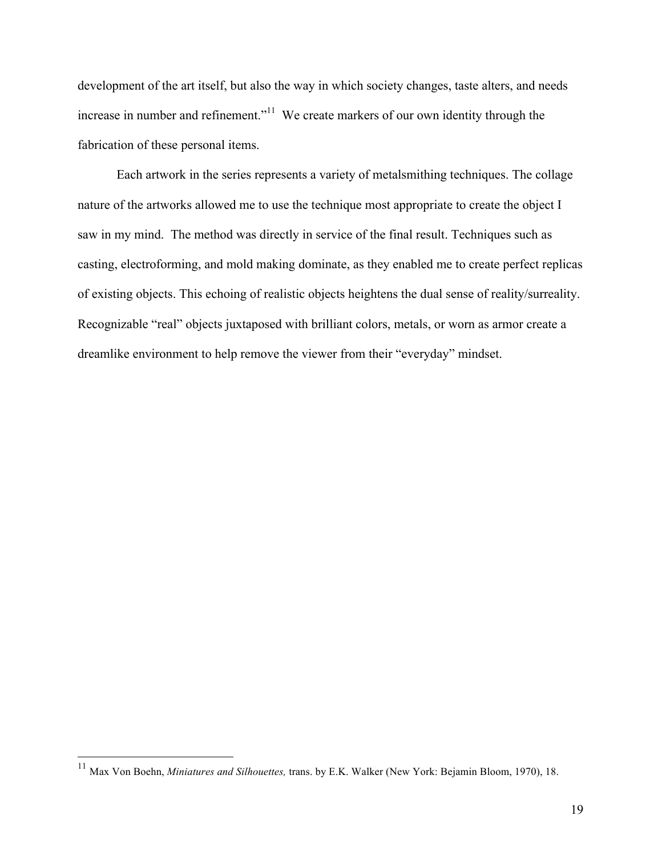development of the art itself, but also the way in which society changes, taste alters, and needs increase in number and refinement."<sup>11</sup> We create markers of our own identity through the fabrication of these personal items.

Each artwork in the series represents a variety of metalsmithing techniques. The collage nature of the artworks allowed me to use the technique most appropriate to create the object I saw in my mind. The method was directly in service of the final result. Techniques such as casting, electroforming, and mold making dominate, as they enabled me to create perfect replicas of existing objects. This echoing of realistic objects heightens the dual sense of reality/surreality. Recognizable "real" objects juxtaposed with brilliant colors, metals, or worn as armor create a dreamlike environment to help remove the viewer from their "everyday" mindset.

 <sup>11</sup> Max Von Boehn, *Miniatures and Silhouettes,* trans. by E.K. Walker (New York: Bejamin Bloom, 1970), 18.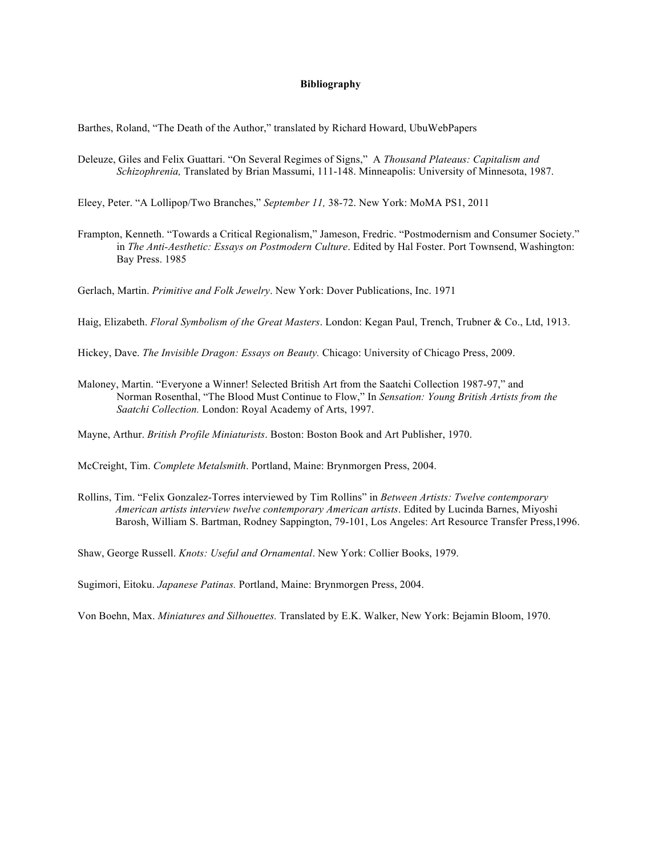#### **Bibliography**

Barthes, Roland, "The Death of the Author," translated by Richard Howard, UbuWebPapers

Deleuze, Giles and Felix Guattari. "On Several Regimes of Signs," A *Thousand Plateaus: Capitalism and Schizophrenia,* Translated by Brian Massumi, 111-148. Minneapolis: University of Minnesota, 1987.

Eleey, Peter. "A Lollipop/Two Branches," *September 11,* 38-72. New York: MoMA PS1, 2011

Frampton, Kenneth. "Towards a Critical Regionalism," Jameson, Fredric. "Postmodernism and Consumer Society." in *The Anti-Aesthetic: Essays on Postmodern Culture*. Edited by Hal Foster. Port Townsend, Washington: Bay Press. 1985

Gerlach, Martin. *Primitive and Folk Jewelry*. New York: Dover Publications, Inc. 1971

Haig, Elizabeth. *Floral Symbolism of the Great Masters*. London: Kegan Paul, Trench, Trubner & Co., Ltd, 1913.

Hickey, Dave. *The Invisible Dragon: Essays on Beauty.* Chicago: University of Chicago Press, 2009.

Maloney, Martin. "Everyone a Winner! Selected British Art from the Saatchi Collection 1987-97," and Norman Rosenthal, "The Blood Must Continue to Flow," In *Sensation: Young British Artists from the Saatchi Collection.* London: Royal Academy of Arts, 1997.

Mayne, Arthur. *British Profile Miniaturists*. Boston: Boston Book and Art Publisher, 1970.

McCreight, Tim. *Complete Metalsmith*. Portland, Maine: Brynmorgen Press, 2004.

Rollins, Tim. "Felix Gonzalez-Torres interviewed by Tim Rollins" in *Between Artists: Twelve contemporary American artists interview twelve contemporary American artists*. Edited by Lucinda Barnes, Miyoshi Barosh, William S. Bartman, Rodney Sappington, 79-101, Los Angeles: Art Resource Transfer Press,1996.

Shaw, George Russell. *Knots: Useful and Ornamental*. New York: Collier Books, 1979.

Sugimori, Eitoku. *Japanese Patinas.* Portland, Maine: Brynmorgen Press, 2004.

Von Boehn, Max. *Miniatures and Silhouettes.* Translated by E.K. Walker, New York: Bejamin Bloom, 1970.